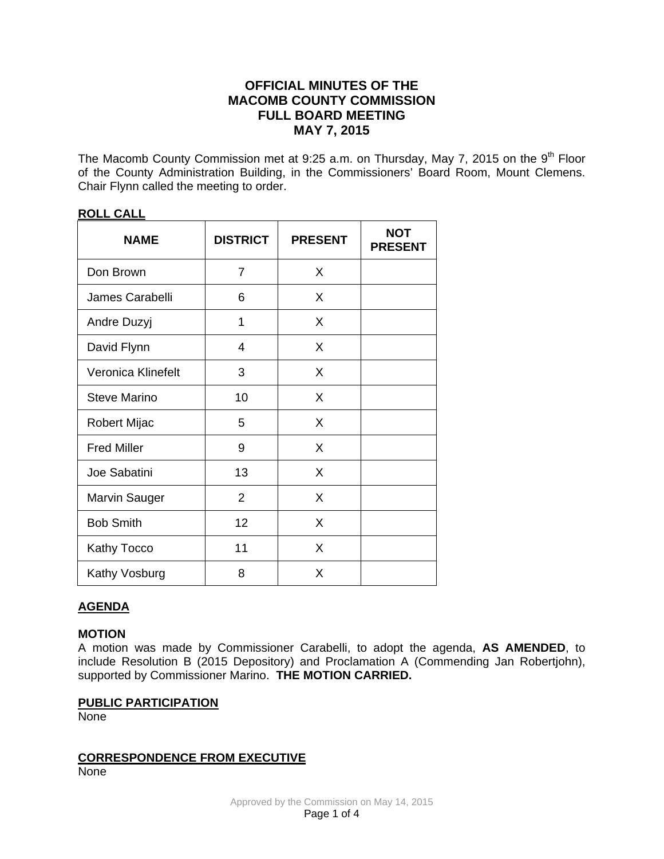# **OFFICIAL MINUTES OF THE MACOMB COUNTY COMMISSION FULL BOARD MEETING MAY 7, 2015**

The Macomb County Commission met at 9:25 a.m. on Thursday, May 7, 2015 on the 9<sup>th</sup> Floor of the County Administration Building, in the Commissioners' Board Room, Mount Clemens. Chair Flynn called the meeting to order.

| <b>NAME</b>          | <b>DISTRICT</b> | <b>PRESENT</b> | <b>NOT</b><br><b>PRESENT</b> |
|----------------------|-----------------|----------------|------------------------------|
| Don Brown            | 7               | X              |                              |
| James Carabelli      | 6               | X              |                              |
| Andre Duzyj          | 1               | X              |                              |
| David Flynn          | 4               | X              |                              |
| Veronica Klinefelt   | 3               | X              |                              |
| <b>Steve Marino</b>  | 10              | X              |                              |
| Robert Mijac         | 5               | X              |                              |
| <b>Fred Miller</b>   | 9               | X              |                              |
| Joe Sabatini         | 13              | X              |                              |
| <b>Marvin Sauger</b> | $\overline{2}$  | X              |                              |
| <b>Bob Smith</b>     | 12              | X              |                              |
| Kathy Tocco          | 11              | X              |                              |
| Kathy Vosburg        | 8               | X              |                              |

## **ROLL CALL**

## **AGENDA**

### **MOTION**

A motion was made by Commissioner Carabelli, to adopt the agenda, **AS AMENDED**, to include Resolution B (2015 Depository) and Proclamation A (Commending Jan Robertjohn), supported by Commissioner Marino. **THE MOTION CARRIED.** 

## **PUBLIC PARTICIPATION**

**None** 

## **CORRESPONDENCE FROM EXECUTIVE**

None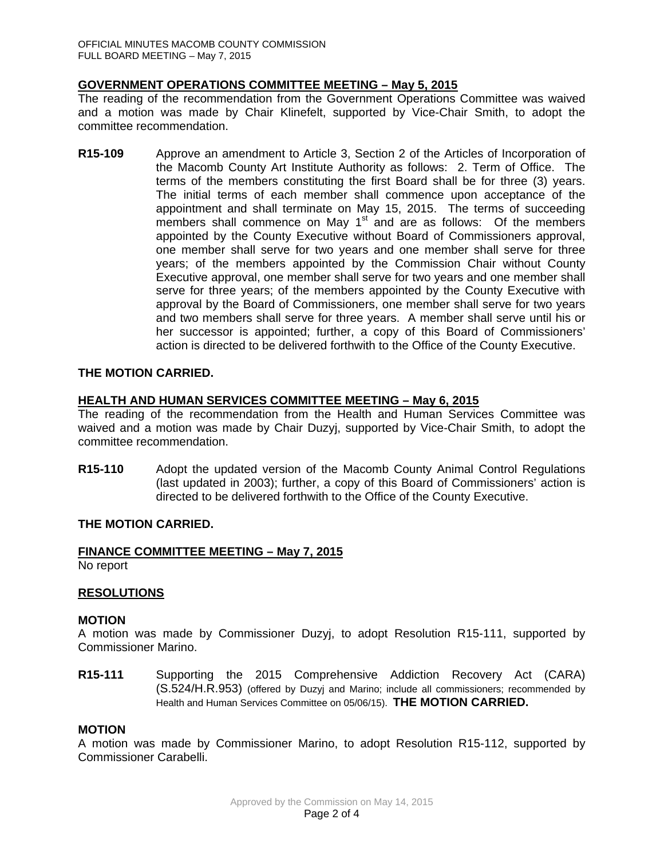## **GOVERNMENT OPERATIONS COMMITTEE MEETING – May 5, 2015**

The reading of the recommendation from the Government Operations Committee was waived and a motion was made by Chair Klinefelt, supported by Vice-Chair Smith, to adopt the committee recommendation.

**R15-109** Approve an amendment to Article 3, Section 2 of the Articles of Incorporation of the Macomb County Art Institute Authority as follows: 2. Term of Office. The terms of the members constituting the first Board shall be for three (3) years. The initial terms of each member shall commence upon acceptance of the appointment and shall terminate on May 15, 2015. The terms of succeeding members shall commence on May  $1<sup>st</sup>$  and are as follows: Of the members appointed by the County Executive without Board of Commissioners approval, one member shall serve for two years and one member shall serve for three years; of the members appointed by the Commission Chair without County Executive approval, one member shall serve for two years and one member shall serve for three years; of the members appointed by the County Executive with approval by the Board of Commissioners, one member shall serve for two years and two members shall serve for three years. A member shall serve until his or her successor is appointed; further, a copy of this Board of Commissioners' action is directed to be delivered forthwith to the Office of the County Executive.

## **THE MOTION CARRIED.**

#### **HEALTH AND HUMAN SERVICES COMMITTEE MEETING – May 6, 2015**

The reading of the recommendation from the Health and Human Services Committee was waived and a motion was made by Chair Duzyj, supported by Vice-Chair Smith, to adopt the committee recommendation.

**R15-110** Adopt the updated version of the Macomb County Animal Control Regulations (last updated in 2003); further, a copy of this Board of Commissioners' action is directed to be delivered forthwith to the Office of the County Executive.

#### **THE MOTION CARRIED.**

#### **FINANCE COMMITTEE MEETING – May 7, 2015**

No report

#### **RESOLUTIONS**

#### **MOTION**

A motion was made by Commissioner Duzyj, to adopt Resolution R15-111, supported by Commissioner Marino.

**R15-111** Supporting the 2015 Comprehensive Addiction Recovery Act (CARA) (S.524/H.R.953) (offered by Duzyj and Marino; include all commissioners; recommended by Health and Human Services Committee on 05/06/15). **THE MOTION CARRIED.** 

#### **MOTION**

A motion was made by Commissioner Marino, to adopt Resolution R15-112, supported by Commissioner Carabelli.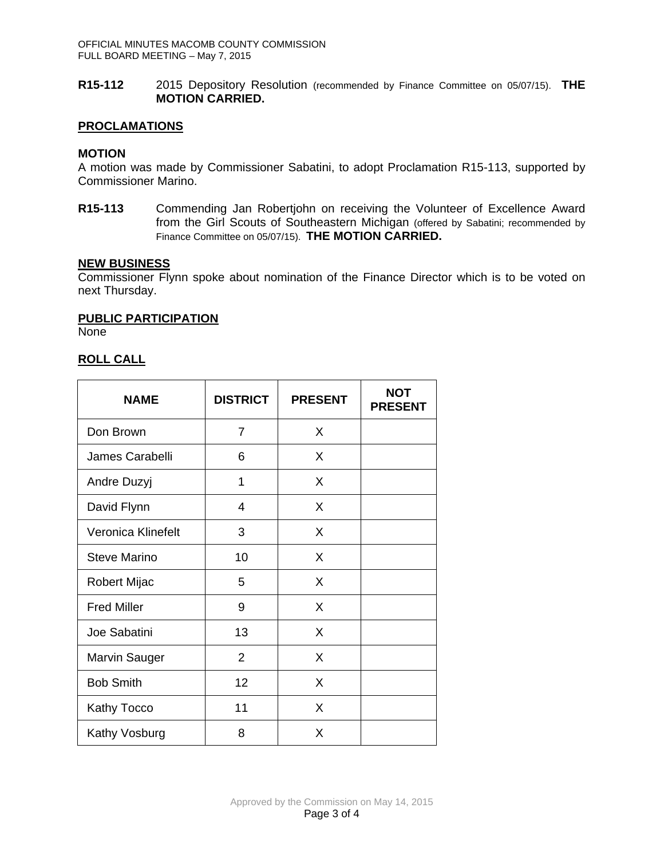**R15-112** 2015 Depository Resolution (recommended by Finance Committee on 05/07/15). **THE MOTION CARRIED.** 

### **PROCLAMATIONS**

### **MOTION**

A motion was made by Commissioner Sabatini, to adopt Proclamation R15-113, supported by Commissioner Marino.

**R15-113** Commending Jan Robertjohn on receiving the Volunteer of Excellence Award from the Girl Scouts of Southeastern Michigan (offered by Sabatini; recommended by Finance Committee on 05/07/15). **THE MOTION CARRIED.** 

### **NEW BUSINESS**

Commissioner Flynn spoke about nomination of the Finance Director which is to be voted on next Thursday.

### **PUBLIC PARTICIPATION**

None

## **ROLL CALL**

| <b>NAME</b>          | <b>DISTRICT</b> | <b>PRESENT</b> | <b>NOT</b><br><b>PRESENT</b> |
|----------------------|-----------------|----------------|------------------------------|
| Don Brown            | 7               | X              |                              |
| James Carabelli      | 6               | X              |                              |
| Andre Duzyj          | 1               | X              |                              |
| David Flynn          | 4               | X              |                              |
| Veronica Klinefelt   | 3               | X              |                              |
| <b>Steve Marino</b>  | 10              | X              |                              |
| <b>Robert Mijac</b>  | 5               | X              |                              |
| <b>Fred Miller</b>   | 9               | X              |                              |
| Joe Sabatini         | 13              | X              |                              |
| <b>Marvin Sauger</b> | $\overline{2}$  | X              |                              |
| <b>Bob Smith</b>     | 12              | X              |                              |
| Kathy Tocco          | 11              | X              |                              |
| Kathy Vosburg        | 8               | X              |                              |